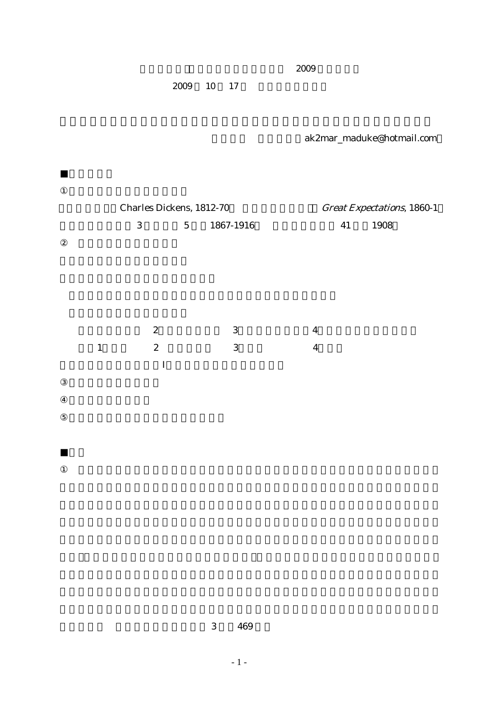2009

 $2009$  10 17

 $\mathbf I$ 

ak2mar\_maduke@hotmail.com

|  | <b>Charles Dickens, 1812-70</b> |                |           | <b>Great Expectations, 1860-1</b> |      |  |
|--|---------------------------------|----------------|-----------|-----------------------------------|------|--|
|  | 3                               | 5 <sup>5</sup> | 1867-1916 | 41                                | 1908 |  |
|  |                                 |                |           |                                   |      |  |
|  |                                 |                |           |                                   |      |  |
|  |                                 |                |           |                                   |      |  |
|  |                                 |                |           |                                   |      |  |
|  |                                 |                |           |                                   |      |  |
|  | $\boldsymbol{2}$                |                | 3         | $\boldsymbol{4}$                  |      |  |
|  | $\boldsymbol{2}$                |                | 3         | 4                                 |      |  |

 $3 \t 469$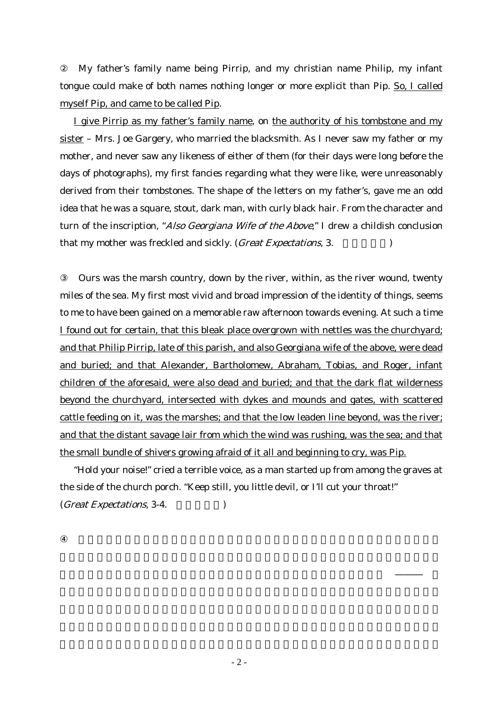My father's family name being Pirrip, and my christian name Philip, my infant tongue could make of both names nothing longer or more explicit than Pip. So, I called myself Pip, and came to be called Pip.

I give Pirrip as my father's family name, on the authority of his tombstone and my sister – Mrs. Joe Gargery, who married the blacksmith. As I never saw my father or my mother, and never saw any likeness of either of them (for their days were long before the days of photographs), my first fancies regarding what they were like, were unreasonably derived from their tombstones. The shape of the letters on my father's, gave me an odd idea that he was a square, stout, dark man, with curly black hair. From the character and turn of the inscription, "Also Georgiana Wife of the Above," I drew a childish conclusion that my mother was freckled and sickly. (*Great Expectations*, 3.

③ Ours was the marsh country, down by the river, within, as the river wound, twenty miles of the sea. My first most vivid and broad impression of the identity of things, seems to me to have been gained on a memorable raw afternoon towards evening. At such a time I found out for certain, that this bleak place overgrown with nettles was the churchyard; and that Philip Pirrip, late of this parish, and also Georgiana wife of the above, were dead and buried; and that Alexander, Bartholomew, Abraham, Tobias, and Roger, infant children of the aforesaid, were also dead and buried; and that the dark flat wilderness beyond the churchyard, intersected with dykes and mounds and gates, with scattered cattle feeding on it, was the marshes; and that the low leaden line beyond, was the river; and that the distant savage lair from which the wind was rushing, was the sea; and that the small bundle of shivers growing afraid of it all and beginning to cry, was Pip.

"Hold your noise!" cried a terrible voice, as a man started up from among the graves at the side of the church porch. "Keep still, you little devil, or I'll cut your throat!"  $(Great$  Expectations, 3-4.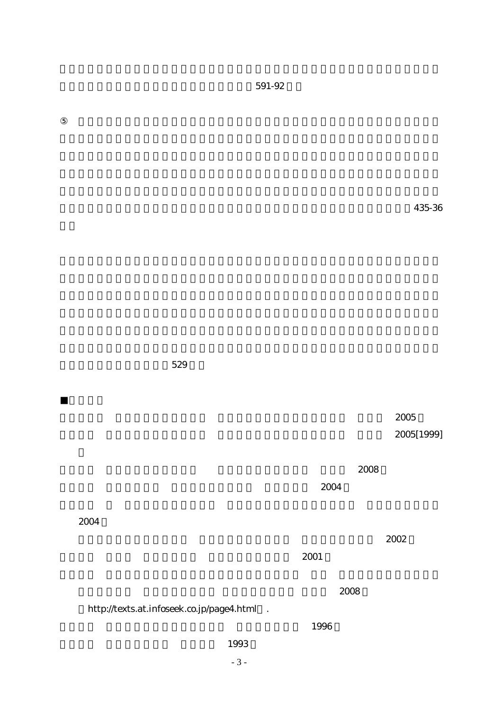$\bf435-36$ 

 $\sim 2005$ 

 $2005[1999]$ 

 $\sim 2008$ 

 $2004$ 

 $2002$ 

 $\sim 2001$ 

 $591-92$ 

 $\sim 2008$ 

http://texts.at.infoseek.co.jp/page4.html .

2004

529

 $\sim 1996$ 

1993

- 3 -